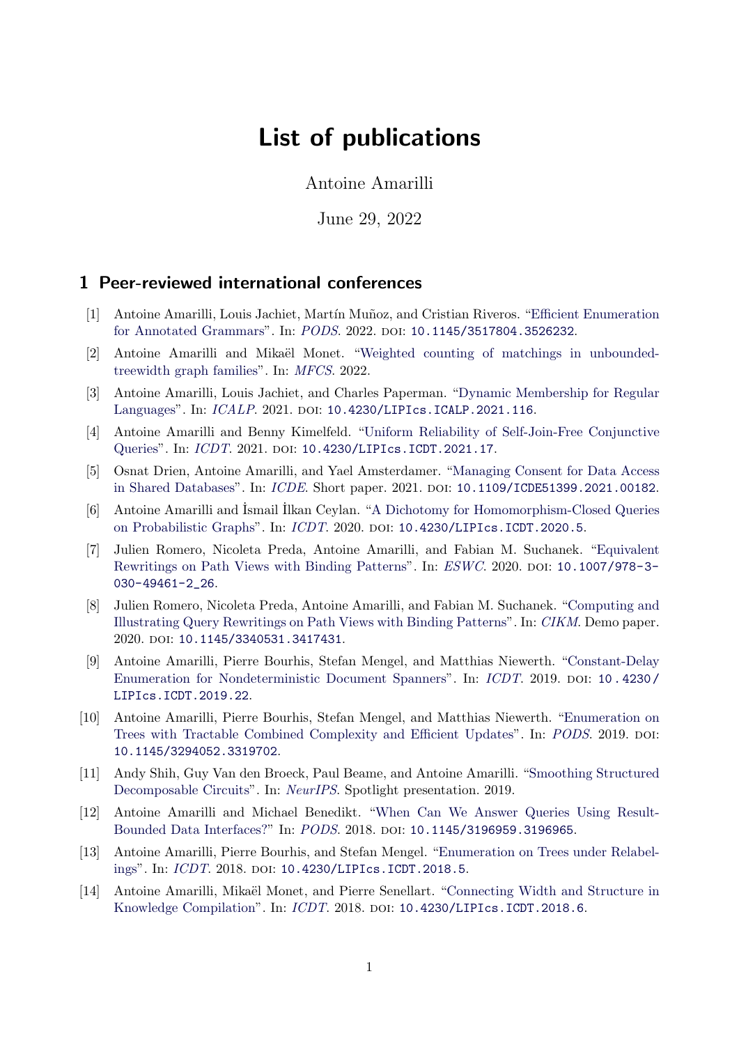# List of publications

Antoine Amarilli

June 29, 2022

# 1 Peer-reviewed international conferences

- [1] Antoine Amarilli, Louis Jachiet, Mart´ın Mu˜noz, and Cristian Riveros. ["Efficient Enumeration](https://arxiv.org/abs/2201.00549) [for Annotated Grammars"](https://arxiv.org/abs/2201.00549). In: [PODS](https://2022.sigmod.org/). 2022. DOI: [10.1145/3517804.3526232](https://doi.org/10.1145/3517804.3526232).
- [2] Antoine Amarilli and Mikaël Monet. ["Weighted counting of matchings in unbounded](https://arxiv.org/abs/2205.00851)[treewidth graph families"](https://arxiv.org/abs/2205.00851). In: [MFCS](https://ac.tuwien.ac.at/mfcs2022/). 2022.
- [3] Antoine Amarilli, Louis Jachiet, and Charles Paperman. ["Dynamic Membership for Regular](http://arxiv.org/abs/2102.07728) [Languages"](http://arxiv.org/abs/2102.07728). In: [ICALP](https://easyconferences.eu/icalp2021/). 2021. DOI: [10.4230/LIPIcs.ICALP.2021.116](https://doi.org/10.4230/LIPIcs.ICALP.2021.116).
- [4] Antoine Amarilli and Benny Kimelfeld. ["Uniform Reliability of Self-Join-Free Conjunctive](https://drops.dagstuhl.de/opus/frontdoor.php?source_opus=13725) [Queries"](https://drops.dagstuhl.de/opus/frontdoor.php?source_opus=13725). In: [ICDT](https://databasetheory.org/node/106). 2021. DOI: [10.4230/LIPIcs.ICDT.2021.17](https://doi.org/10.4230/LIPIcs.ICDT.2021.17).
- [5] Osnat Drien, Antoine Amarilli, and Yael Amsterdamer. ["Managing Consent for Data Access](https://ieeexplore.ieee.org/document/9458900) [in Shared Databases"](https://ieeexplore.ieee.org/document/9458900). In: [ICDE](https://icde2021.gr/). Short paper. 2021. DOI: [10.1109/ICDE51399.2021.00182](https://doi.org/10.1109/ICDE51399.2021.00182).
- [6] Antoine Amarilli and ˙Ismail ˙Ilkan Ceylan. ["A Dichotomy for Homomorphism-Closed Queries](https://drops.dagstuhl.de/opus/volltexte/2020/11929/) [on Probabilistic Graphs"](https://drops.dagstuhl.de/opus/volltexte/2020/11929/). In: [ICDT](https://diku-dk.github.io/edbticdt2020/). 2020. poi: [10.4230/LIPIcs.ICDT.2020.5](https://doi.org/10.4230/LIPIcs.ICDT.2020.5).
- [7] Julien Romero, Nicoleta Preda, Antoine Amarilli, and Fabian M. Suchanek. ["Equivalent](https://arxiv.org/abs/2003.07316) [Rewritings on Path Views with Binding Patterns"](https://arxiv.org/abs/2003.07316). In: [ESWC](https://2020.eswc-conferences.org/). 2020. DOI: [10.1007/978-3-](https://doi.org/10.1007/978-3-030-49461-2_26) [030-49461-2\\_26](https://doi.org/10.1007/978-3-030-49461-2_26).
- [8] Julien Romero, Nicoleta Preda, Antoine Amarilli, and Fabian M. Suchanek. ["Computing and](https://www.researchgate.net/publication/344881375_Computing_and_Illustrating_Query_Rewritings_on_Path_Views_with_Binding_Patterns) [Illustrating Query Rewritings on Path Views with Binding Patterns"](https://www.researchgate.net/publication/344881375_Computing_and_Illustrating_Query_Rewritings_on_Path_Views_with_Binding_Patterns). In: [CIKM](https://www.cikm2020.org/). Demo paper. 2020. doi: [10.1145/3340531.3417431](https://doi.org/10.1145/3340531.3417431).
- [9] Antoine Amarilli, Pierre Bourhis, Stefan Mengel, and Matthias Niewerth. ["Constant-Delay](https://arxiv.org/abs/1807.09320) [Enumeration for Nondeterministic Document Spanners"](https://arxiv.org/abs/1807.09320). In: *[ICDT](http://edbticdt2019.inesc-id.pt/)*. 2019. poi: 10.4230/ [LIPIcs.ICDT.2019.22](https://doi.org/10.4230/LIPIcs.ICDT.2019.22).
- [10] Antoine Amarilli, Pierre Bourhis, Stefan Mengel, and Matthias Niewerth. ["Enumeration on](https://arxiv.org/abs/1812.09519) [Trees with Tractable Combined Complexity and Efficient Updates"](https://arxiv.org/abs/1812.09519). In: [PODS](https://sigmod2019.org/). 2019. DOI: [10.1145/3294052.3319702](https://doi.org/10.1145/3294052.3319702).
- [11] Andy Shih, Guy Van den Broeck, Paul Beame, and Antoine Amarilli. ["Smoothing Structured](https://arxiv.org/abs/1906.00311) [Decomposable Circuits"](https://arxiv.org/abs/1906.00311). In: [NeurIPS](https://nips.cc/). Spotlight presentation. 2019.
- [12] Antoine Amarilli and Michael Benedikt. ["When Can We Answer Queries Using Result-](https://arxiv.org/abs/1706.07936)[Bounded Data Interfaces?"](https://arxiv.org/abs/1706.07936) In: [PODS](https://sigmod2018.org/). 2018. poi: [10.1145/3196959.3196965](https://doi.org/10.1145/3196959.3196965).
- [13] Antoine Amarilli, Pierre Bourhis, and Stefan Mengel. ["Enumeration on Trees under Relabel](https://arxiv.org/abs/1709.06185)[ings"](https://arxiv.org/abs/1709.06185). In: *[ICDT](https://edbticdt2018.at/)*. 2018. DOI: [10.4230/LIPIcs.ICDT.2018.5](https://doi.org/10.4230/LIPIcs.ICDT.2018.5).
- [14] Antoine Amarilli, Mikaël Monet, and Pierre Senellart. ["Connecting Width and Structure in](https://arxiv.org/abs/1709.06188) [Knowledge Compilation"](https://arxiv.org/abs/1709.06188). In: [ICDT](https://edbticdt2018.at/). 2018. DOI: [10.4230/LIPIcs.ICDT.2018.6](https://doi.org/10.4230/LIPIcs.ICDT.2018.6).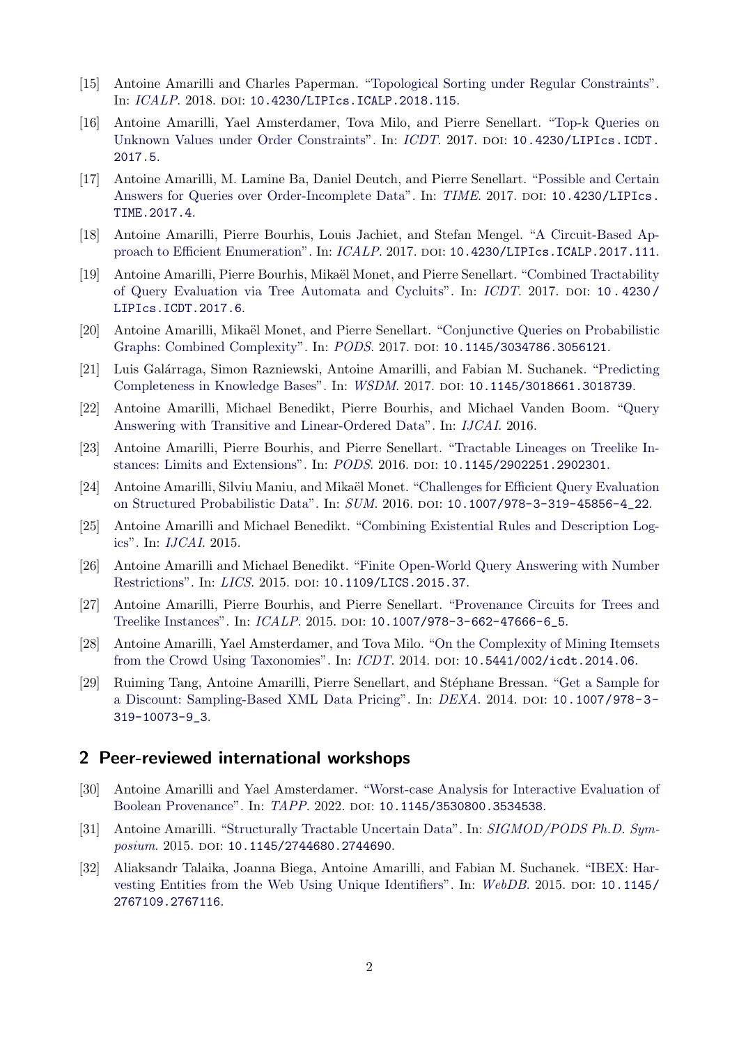- [15] Antoine Amarilli and Charles Paperman. ["Topological Sorting under Regular Constraints"](https://arxiv.org/abs/1707.04310). In: [ICALP](https://iuuk.mff.cuni.cz/~icalp2018/). 2018. DOI: [10.4230/LIPIcs.ICALP.2018.115](https://doi.org/10.4230/LIPIcs.ICALP.2018.115).
- [16] Antoine Amarilli, Yael Amsterdamer, Tova Milo, and Pierre Senellart. ["Top-k Queries on](https://arxiv.org/abs/1701.02634) [Unknown Values under Order Constraints"](https://arxiv.org/abs/1701.02634). In: [ICDT](http://edbticdt2017.unive.it/). 2017. DOI: 10.4230/LIPICS.ICDT. [2017.5](https://doi.org/10.4230/LIPIcs.ICDT.2017.5).
- [17] Antoine Amarilli, M. Lamine Ba, Daniel Deutch, and Pierre Senellart. ["Possible and Certain](https://arxiv.org/abs/1707.07222) [Answers for Queries over Order-Incomplete Data"](https://arxiv.org/abs/1707.07222). In: [TIME](http://informatique.umons.ac.be/time2017/). 2017. DOI: [10.4230/LIPIcs.](https://doi.org/10.4230/LIPIcs.TIME.2017.4) [TIME.2017.4](https://doi.org/10.4230/LIPIcs.TIME.2017.4).
- [18] Antoine Amarilli, Pierre Bourhis, Louis Jachiet, and Stefan Mengel. ["A Circuit-Based Ap](https://arxiv.org/abs/1702.05589)[proach to Efficient Enumeration"](https://arxiv.org/abs/1702.05589). In: [ICALP](http://icalp17.mimuw.edu.pl/). 2017. poi: [10.4230/LIPIcs.ICALP.2017.111](https://doi.org/10.4230/LIPIcs.ICALP.2017.111).
- [19] Antoine Amarilli, Pierre Bourhis, Mika¨el Monet, and Pierre Senellart. ["Combined Tractability](https://arxiv.org/abs/1612.04203) [of Query Evaluation via Tree Automata and Cycluits"](https://arxiv.org/abs/1612.04203). In: [ICDT](http://edbticdt2017.unive.it/). 2017. DOI: 10.4230/ [LIPIcs.ICDT.2017.6](https://doi.org/10.4230/LIPIcs.ICDT.2017.6).
- [20] Antoine Amarilli, Mikaël Monet, and Pierre Senellart. ["Conjunctive Queries on Probabilistic](https://arxiv.org/abs/1703.03201) [Graphs: Combined Complexity"](https://arxiv.org/abs/1703.03201). In: [PODS](http://sigmod2017.org/). 2017. DOI: [10.1145/3034786.3056121](https://doi.org/10.1145/3034786.3056121).
- [21] Luis Gal´arraga, Simon Razniewski, Antoine Amarilli, and Fabian M. Suchanek. ["Predicting](https://arxiv.org/abs/1612.05786) [Completeness in Knowledge Bases"](https://arxiv.org/abs/1612.05786). In: [WSDM](http://www.wsdm-conference.org/2017/). 2017. poi: [10.1145/3018661.3018739](https://doi.org/10.1145/3018661.3018739).
- [22] Antoine Amarilli, Michael Benedikt, Pierre Bourhis, and Michael Vanden Boom. ["Query](https://arxiv.org/abs/1607.00813) [Answering with Transitive and Linear-Ordered Data"](https://arxiv.org/abs/1607.00813). In: [IJCAI](http://ijcai-16.org/index.php/welcome/view/home). 2016.
- [23] Antoine Amarilli, Pierre Bourhis, and Pierre Senellart. ["Tractable Lineages on Treelike In](https://arxiv.org/abs/1604.02761)[stances: Limits and Extensions"](https://arxiv.org/abs/1604.02761). In: [PODS](http://sigmod2016.org/). 2016. doi: [10.1145/2902251.2902301](https://doi.org/10.1145/2902251.2902301).
- [24] Antoine Amarilli, Silviu Maniu, and Mikaël Monet. ["Challenges for Efficient Query Evaluation](https://arxiv.org/abs/1607.05538)" [on Structured Probabilistic Data"](https://arxiv.org/abs/1607.05538). In: [SUM](http://sum2016.unice.fr/). 2016. poi: [10.1007/978-3-319-45856-4\\_22](https://doi.org/10.1007/978-3-319-45856-4_22).
- [25] Antoine Amarilli and Michael Benedikt. ["Combining Existential Rules and Description Log](https://arxiv.org/abs/1505.00326)[ics"](https://arxiv.org/abs/1505.00326). In: [IJCAI](http://ijcai-15.org/). 2015.
- [26] Antoine Amarilli and Michael Benedikt. ["Finite Open-World Query Answering with Number](https://arxiv.org/abs/1505.04216) [Restrictions"](https://arxiv.org/abs/1505.04216). In: *[LICS](https://lics.siglog.org/lics15/)*. 2015. DOI: [10.1109/LICS.2015.37](https://doi.org/10.1109/LICS.2015.37).
- [27] Antoine Amarilli, Pierre Bourhis, and Pierre Senellart. ["Provenance Circuits for Trees and](https://arxiv.org/abs/1511.08723) [Treelike Instances"](https://arxiv.org/abs/1511.08723). In: [ICALP](http://www.kurims.kyoto-u.ac.jp/icalp2015/). 2015. DOI: [10.1007/978-3-662-47666-6\\_5](https://doi.org/10.1007/978-3-662-47666-6_5).
- [28] Antoine Amarilli, Yael Amsterdamer, and Tova Milo. ["On the Complexity of Mining Itemsets](https://arxiv.org/abs/1312.3248) [from the Crowd Using Taxonomies"](https://arxiv.org/abs/1312.3248). In: *[ICDT](http://www.edbticdt2014.gr/)*. 2014. DOI: [10.5441/002/icdt.2014.06](https://doi.org/10.5441/002/icdt.2014.06).
- [29] Ruiming Tang, Antoine Amarilli, Pierre Senellart, and St´ephane Bressan. ["Get a Sample for](https://osf.io/5y84h/) [a Discount: Sampling-Based XML Data Pricing"](https://osf.io/5y84h/). In: [DEXA](http://www.dexa.org/previous/dexa2014/dexa2014.html). 2014. DOI: 10.1007/978-3-[319-10073-9\\_3](https://doi.org/10.1007/978-3-319-10073-9_3).

#### 2 Peer-reviewed international workshops

- [30] Antoine Amarilli and Yael Amsterdamer. ["Worst-case Analysis for Interactive Evaluation of](https://arxiv.org/abs/2205.04224) [Boolean Provenance"](https://arxiv.org/abs/2205.04224). In: [TAPP](https://tapp2022.github.io/). 2022. DOI: [10.1145/3530800.3534538](https://doi.org/10.1145/3530800.3534538).
- [31] Antoine Amarilli. ["Structurally Tractable Uncertain Data"](https://arxiv.org/abs/1507.04955). In: [SIGMOD/PODS Ph.D. Sym](https://web.archive.org/web/20170309151324/http://staff.itee.uq.edu.au/shenht/phdsymposium2015/)[posium](https://web.archive.org/web/20170309151324/http://staff.itee.uq.edu.au/shenht/phdsymposium2015/). 2015. DOI: [10.1145/2744680.2744690](https://doi.org/10.1145/2744680.2744690).
- [32] Aliaksandr Talaika, Joanna Biega, Antoine Amarilli, and Fabian M. Suchanek. ["IBEX: Har](https://arxiv.org/abs/1505.00841)[vesting Entities from the Web Using Unique Identifiers"](https://arxiv.org/abs/1505.00841). In: [WebDB](https://web.archive.org/web/20161225031934/http://dbweb.enst.fr/events/webdb2015/). 2015. DOI: [10.1145/](https://doi.org/10.1145/2767109.2767116) [2767109.2767116](https://doi.org/10.1145/2767109.2767116).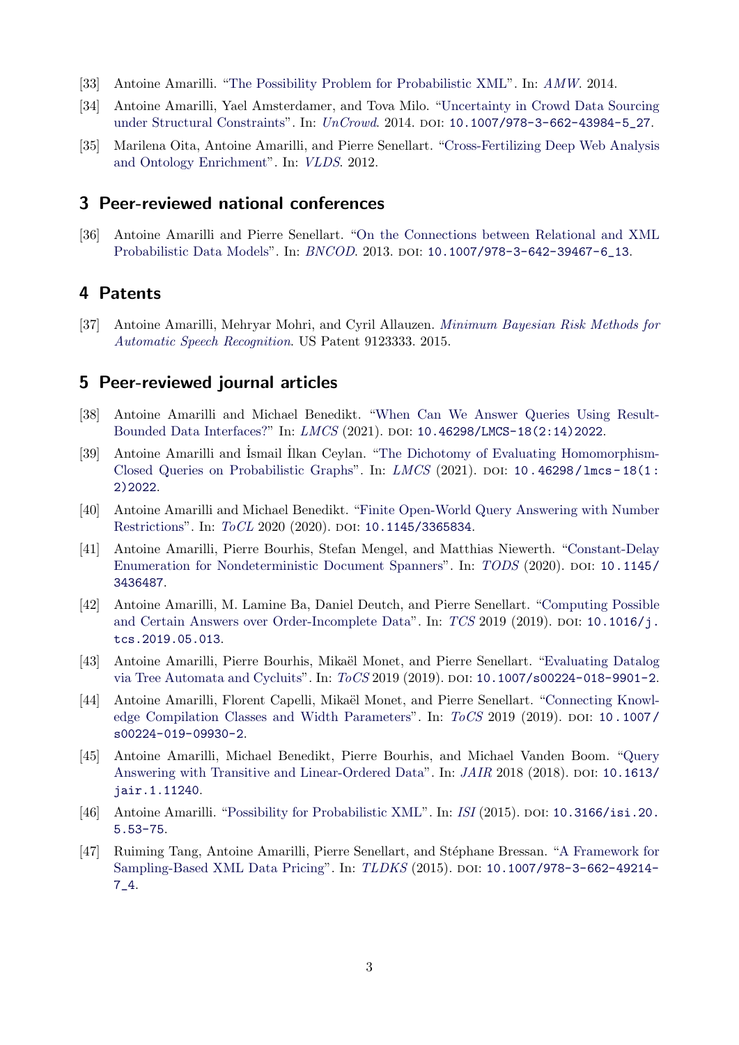- [33] Antoine Amarilli. ["The Possibility Problem for Probabilistic XML"](http://ceur-ws.org/Vol-1189/paper_2.pdf). In: [AMW](https://web.archive.org/web/20171207085939/http://ing.unal.edu.co/eventos/amw2014/). 2014.
- [34] Antoine Amarilli, Yael Amsterdamer, and Tova Milo. ["Uncertainty in Crowd Data Sourcing](https://arxiv.org/abs/1403.0783) [under Structural Constraints"](https://arxiv.org/abs/1403.0783). In: *[UnCrowd](https://web.archive.org/web/20160803125906/http://dbweb.enst.fr/events/uncrowd2014/).* 2014. poi: 10.1007/978-3-662-43984-5<sub>-</sub>27.
- [35] Marilena Oita, Antoine Amarilli, and Pierre Senellart. ["Cross-Fertilizing Deep Web Analysis](https://osf.io/b3fvz/) [and Ontology Enrichment"](https://osf.io/b3fvz/). In: [VLDS](https://web.archive.org/web/20161021061647/http://vlds.search-computing.net/). 2012.

## 3 Peer-reviewed national conferences

[36] Antoine Amarilli and Pierre Senellart. ["On the Connections between Relational and XML](https://osf.io/t6ghw/) [Probabilistic Data Models"](https://osf.io/t6ghw/). In: [BNCOD](http://www.cs.ox.ac.uk/bncod2013/). 2013. DOI: [10.1007/978-3-642-39467-6\\_13](https://doi.org/10.1007/978-3-642-39467-6_13).

# 4 Patents

[37] Antoine Amarilli, Mehryar Mohri, and Cyril Allauzen. [Minimum Bayesian Risk Methods for](https://a3nm.net/publications/amarilli2014minimum.pdf) [Automatic Speech Recognition](https://a3nm.net/publications/amarilli2014minimum.pdf). US Patent 9123333. 2015.

#### 5 Peer-reviewed journal articles

- [38] Antoine Amarilli and Michael Benedikt. ["When Can We Answer Queries Using Result-](https://arxiv.org/abs/1810.07822)[Bounded Data Interfaces?"](https://arxiv.org/abs/1810.07822) In: [LMCS](https://lmcs.episciences.org/) (2021). DOI: [10.46298/LMCS-18\(2:14\)2022](https://doi.org/10.46298/LMCS-18(2:14)2022).
- [39] Antoine Amarilli and Ismail Ilkan Ceylan. ["The Dichotomy of Evaluating Homomorphism-](https://arxiv.org/abs/1910.02048)[Closed Queries on Probabilistic Graphs"](https://arxiv.org/abs/1910.02048). In:  $LMCS$  (2021). DOI: 10.46298/1mcs - 18(1: [2\)2022](https://doi.org/10.46298/lmcs-18(1:2)2022).
- [40] Antoine Amarilli and Michael Benedikt. ["Finite Open-World Query Answering with Number](http://arxiv.org/abs/2003.02521) [Restrictions"](http://arxiv.org/abs/2003.02521). In: [ToCL](https://tocl.acm.org/) 2020 (2020). DOI: [10.1145/3365834](https://doi.org/10.1145/3365834).
- [41] Antoine Amarilli, Pierre Bourhis, Stefan Mengel, and Matthias Niewerth. ["Constant-Delay](https://arxiv.org/abs/2003.02576) [Enumeration for Nondeterministic Document Spanners"](https://arxiv.org/abs/2003.02576). In: [TODS](https://dl.acm.org/journal/tods) (2020). DOI: [10.1145/](https://doi.org/10.1145/3436487) [3436487](https://doi.org/10.1145/3436487).
- [42] Antoine Amarilli, M. Lamine Ba, Daniel Deutch, and Pierre Senellart. ["Computing Possible](https://arxiv.org/abs/1801.06396) [and Certain Answers over Order-Incomplete Data"](https://arxiv.org/abs/1801.06396). In:  $TCS$  2019 (2019). DOI: [10.1016/j.](https://doi.org/10.1016/j.tcs.2019.05.013) [tcs.2019.05.013](https://doi.org/10.1016/j.tcs.2019.05.013).
- [43] Antoine Amarilli, Pierre Bourhis, Mikaël Monet, and Pierre Senellart. ["Evaluating Datalog](https://arxiv.org/abs/1808.04663) [via Tree Automata and Cycluits"](https://arxiv.org/abs/1808.04663). In: [ToCS](https://www.springer.com/computer/theoretical+computer+science/journal/224) 2019 (2019). DOI: [10.1007/s00224-018-9901-2](https://doi.org/10.1007/s00224-018-9901-2).
- [44] Antoine Amarilli, Florent Capelli, Mikaël Monet, and Pierre Senellart. ["Connecting Knowl](https://arxiv.org/abs/1811.02944)[edge Compilation Classes and Width Parameters"](https://arxiv.org/abs/1811.02944). In:  $T_0CS$  2019 (2019). Doi: [10.1007/](https://doi.org/10.1007/s00224-019-09930-2) [s00224-019-09930-2](https://doi.org/10.1007/s00224-019-09930-2).
- [45] Antoine Amarilli, Michael Benedikt, Pierre Bourhis, and Michael Vanden Boom. ["Query](http://arxiv.org/abs/2202.08555) [Answering with Transitive and Linear-Ordered Data"](http://arxiv.org/abs/2202.08555). In: *[JAIR](https://www.jair.org/)* 2018 (2018). DOI: [10.1613/](https://doi.org/10.1613/jair.1.11240) [jair.1.11240](https://doi.org/10.1613/jair.1.11240).
- [46] Antoine Amarilli. ["Possibility for Probabilistic XML"](https://arxiv.org/abs/1404.3131). In: [ISI](http://isi.revuesonline.com/accueil.jsp) (2015). DOI: [10.3166/isi.20.](https://doi.org/10.3166/isi.20.5.53-75) [5.53-75](https://doi.org/10.3166/isi.20.5.53-75).
- [47] Ruiming Tang, Antoine Amarilli, Pierre Senellart, and Stéphane Bressan. ["A Framework for](https://osf.io/m3xcn/) [Sampling-Based XML Data Pricing"](https://osf.io/m3xcn/). In: [TLDKS](https://www.irit.fr/tldks/) (2015). DOI: [10.1007/978-3-662-49214-](https://doi.org/10.1007/978-3-662-49214-7_4) [7\\_4](https://doi.org/10.1007/978-3-662-49214-7_4).